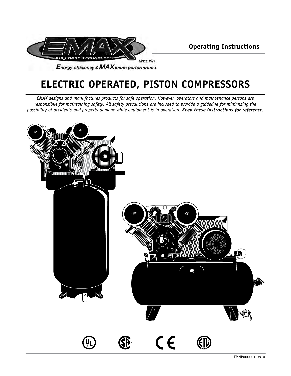

**Operating Instructions**

**ELECTRIC OPERATED, PISTON COMPRESSORS**

*EMAX designs and manufactures products for safe operation. However, operators and maintenance persons are responsibile for maintaining safety. All safety precautions are included to provide a guideline for minimizing the possibility of accidents and property damage while equipment is in operation. Keep these instructions for reference.*

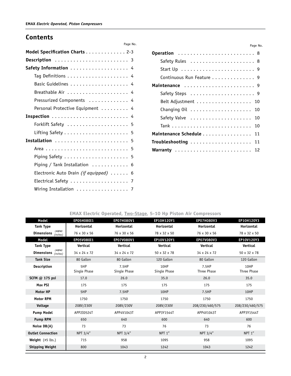### **Contents**

| Model Specification Charts 2-3                               |
|--------------------------------------------------------------|
| Description  3                                               |
| Safety Information  4                                        |
|                                                              |
|                                                              |
|                                                              |
| Pressurized Components  4                                    |
| Personal Protective Equipment  4                             |
|                                                              |
|                                                              |
| Lifting Safety $\ldots \ldots \ldots \ldots \ldots \ldots$ 5 |
|                                                              |
|                                                              |
| Piping Safety $\ldots \ldots \ldots \ldots \ldots \ldots$ 5  |
| Piping / Tank Installation  6                                |
| Electronic Auto Drain (if equipped) 6                        |
|                                                              |
| Wiring Installation  7                                       |

| Operation  8                                                  |  |
|---------------------------------------------------------------|--|
|                                                               |  |
| Start $Up \ldots \ldots \ldots \ldots \ldots \ldots \ldots 9$ |  |
| Continuous Run Feature 9                                      |  |
| Maintenance  9                                                |  |
|                                                               |  |
| Belt Adjustment 10                                            |  |
|                                                               |  |
|                                                               |  |
|                                                               |  |
| Maintenance Schedule 11                                       |  |
| Troubleshooting  11                                           |  |
|                                                               |  |

Page No.

#### **EMAX Electric Operated, Two-Stage, 5-10 Hp Piston Air Compressors**

Page No.

| <b>Model</b>                                     | EP05H080I1               | EP07H080V1            | EP10H120Y1           | <b>EP07H080V3</b>    | EP10H120Y3          |
|--------------------------------------------------|--------------------------|-----------------------|----------------------|----------------------|---------------------|
| <b>Tank Type</b>                                 | Horizontal               | Horizontal            | Horizontal           | Horizontal           | Horizontal          |
| L•W•H<br><b>Dimensions</b><br>(inches)           | 76 x 30 x 56             | 76 x 30 x 56          | 78 x 32 x 50         | 76 x 30 x 56         | 78 x 32 x 50        |
| Model                                            | EP05V080I1               | EP07V080V1            | EP10V120Y1           | EP07V080V3           | EP10V120Y3          |
| <b>Tank Type</b>                                 | Vertical                 | Vertical              | Vertical             | Vertical             | Vertical            |
| $L \bullet W \bullet H$<br>Dimensions $(inches)$ | $34 \times 24 \times 72$ | 34 x 24 x 72          | 50 x 32 x 78         | 34 x 24 x 72         | 50 x 32 x 78        |
| <b>Tank Size</b>                                 | 80 Gallon                | 80 Gallon             | 120 Gallon           | 80 Gallon            | 120 Gallon          |
| Description                                      | 5HP<br>Single Phase      | 7.5HP<br>Single Phase | 10HP<br>Single Phase | 7.5HP<br>Three Phase | 10HP<br>Three Phase |
| SCFM @ 175 psi                                   | 17.0                     | 26.0                  | 35.0                 | 26.0                 | 35.0                |
| Max PSI                                          | 175                      | 175                   | 175                  | 175                  | 175                 |
| <b>Motor HP</b>                                  | 5HP                      | 7.5HP                 | 10HP                 | 7.5HP                | 10HP                |
| <b>Motor RPM</b>                                 | 1750                     | 1750                  | 1750                 | 1750                 | 1750                |
| Voltage                                          | 208V/230V                | 208V/230V             | 208V/230V            | 208/230/460/575      | 208/230/460/575     |
| <b>Pump Model</b>                                | APP2I0524T               | APP4V1043T            | APP3Y1544T           | APP4V1043T           | APP3Y1544T          |
| <b>Pump RPM</b>                                  | 650                      | 640                   | 600                  | 640                  | 600                 |
| Noise DB(A)                                      | 73                       | 73                    | 76                   | 73                   | 76                  |
| <b>Outlet Connection</b>                         | NPT 3/4"                 | NPT 3/4"              | NPT <sub>1"</sub>    | NPT 3/4"             | NPT <sub>1"</sub>   |
| Weight $(\pm 5 \text{ lbs.})$                    | 715                      | 958                   | 1095                 | 958                  | 1095                |
| <b>Shipping Weight</b>                           | 800                      | 1043                  | 1242                 | 1043                 | 1242                |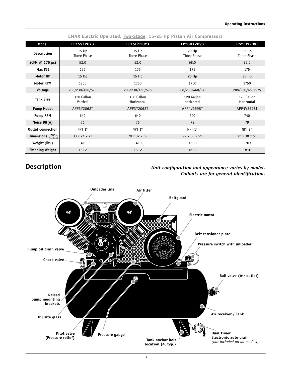|                                        |                          | <b>EMAX Electric Operated, Two-Stage, 15-25 Hp Piston Air Compressors</b> |                          |                          |
|----------------------------------------|--------------------------|---------------------------------------------------------------------------|--------------------------|--------------------------|
| Model                                  | EP15V120Y3               | EP15H120Y3                                                                | EP20H120V3               | EP25H120V3               |
| Description                            | 15 Hp<br>Three Phase     | $15$ Hp<br>Three Phase                                                    | 20 Hp<br>Three Phase     | 25 Hp<br>Three Phase     |
| SCFM @ 175 psi                         | 52.0                     | 52.0                                                                      | 68.0                     | 89.0                     |
| Max PSI                                | 175                      | 175                                                                       | 175                      | 175                      |
| Motor HP                               | $15$ Hp                  | $15$ Hp                                                                   | $20$ Hp                  | $25$ Hp                  |
| <b>Motor RPM</b>                       | 1750                     | 1750                                                                      | 1750                     | 1750                     |
| Voltage                                | 208/230/460/575          | 208/230/460/575                                                           | 208/230/460/575          | 208/230/460/575          |
| <b>Tank Size</b>                       | 120 Gallon<br>Vertical   | 120 Gallon<br>Horizontal                                                  | 120 Gallon<br>Horizontal | 120 Gallon<br>Horizontal |
| <b>Pump Model</b>                      | APP3Y2062T               | APP3Y2062T                                                                | APP4V2598T               | APP4V2598T               |
| <b>Pump RPM</b>                        | 640                      | 640                                                                       | 640                      | 740                      |
| Noise DB(A)                            | 76                       | 76                                                                        | 78                       | 79                       |
| <b>Outlet Connection</b>               | NPT 1"                   | NPT <sub>1"</sub>                                                         | NPT 1"                   | NPT <sub>2"</sub>        |
| L•W•H<br><b>Dimensions</b><br>(inches) | $33 \times 24 \times 73$ | 79 x 32 x 62                                                              | 72 x 30 x 51             | 72 x 30 x 51             |
| <b>Weight</b> (lbs.)                   | 1410                     | 1410                                                                      | 1500                     | 1703                     |
| <b>Shipping Weight</b>                 | 1512                     | 1512                                                                      | 1609                     | 1810                     |

# **Description**

#### *Unit configuration and appearance varies by model. Callouts are for general identification.*

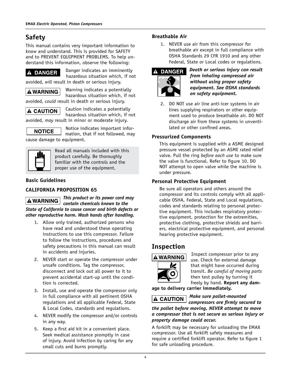# **Safety**

This manual contains very important information to know and understand. This is provided for SAFETY and to PREVENT EQUIPMENT PROBLEMS. To help understand this information, observe the following:

### **A DANGER**

Danger indicates an imminently hazardous situation which, if not

avoided, *will* result in death or serious injury.

**A WARNING** 

Warning indicates a potentially hazardous situation which, if not avoided, *could* result in death or serious injury.

**A CAUTION** 

Caution indicates a potentially hazardous situation which, if not

avoided, *may* result in minor or moderate injury.



Notice indicates important information, that if not followed, may

cause damage to equipment.



Read all manuals included with this product carefully. Be thoroughly familiar with the controls and the proper use of the equipment.

### **Basic Guidelines**

### **CALIFORNIA PROPOSITION 65**

*This product or its power cord may*  **AWARNING** *contain chemicals known to the State of California to cause cancer and birth defects or other reproductive harm. Wash hands after handling.*

- 1. Allow only trained, authorized persons who have read and understood these operating instructions to use this compressor. Failure to follow the instructions, procedures and safety precautions in this manual can result in accidents and injuries.
- 2. NEVER start or operate the compressor under unsafe conditions. Tag the compressor, disconnect and lock out all power to it to prevent accidental start-up until the condition is corrected.
- 3. Install, use and operate the compressor only in full compliance with all pertinent OSHA regulations and all applicable Federal, State & Local Codes, standards and regulations.
- 4. NEVER modify the compressor and/or controls in any way.
- 5. Keep a first aid kit in a convenient place. Seek medical assistance promptly in case of injury. Avoid infection by caring for any small cuts and burns promptly.

#### **Breathable Air**

1. NEVER use air from this compressor for breathable air except in full compliance with OSHA Standards 29 CFR 1910 and any other Federal, State or Local codes or regulations.



*Death or serious injury can result from inhaling compressed air without using proper safety equipment. See OSHA standards on safety equipment.*

2. DO NOT use air line anti-icer systems in air lines supplying respirators or other equipment used to produce breathable air. DO NOT discharge air from these systems in unventilated or other confined areas.

### **Pressurized Components**

This equipment is supplied with a ASME designed pressure vessel protected by an ASME rated relief valve. Pull the ring *before each use* to make sure the valve is functional. Refer to figure 10. DO NOT attempt to open valve while the machine is under pressure.

### **Personal Protective Equipment**

Be sure all operators and others around the compressor and its controls comply with all applicable OSHA, Federal, State and Local regulations, codes and standards relating to personal protective equipment. This includes respiratory protective equipment, protection for the extremities, protective clothing, protective shields and barriers, electrical protective equipment, and personal hearing protective equipment.

## **Inspection**



Inspect compressor prior to any use. Check for external damage that might have occurred during transit. *Be careful of moving parts* then test pulley by turning it freely by hand. **Report any dam-**

**age to delivery carrier immediately.**



*Make sure pallet-mounted* 

*compressors are firmly secured to the pallet before moving. NEVER attempt to move a compressor that is not secure as serious injury or property damage could occur.*

A forklift may be necessary for unloading the EMAX compressor. Use all forklift safety measures and require a certified forklift operator. Refer to figure 1 for safe unloading procedure.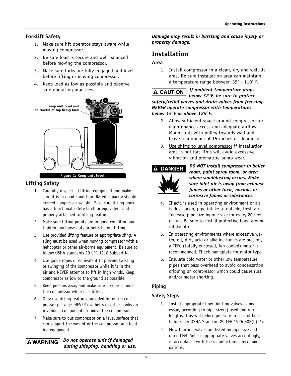#### **Forklift Safety**

- 1. Make sure lift operator stays aware while moving compressor.
- 2. Be sure load is secure and well balanced before moving the compressor.
- 3. Make sure forks are fully engaged and level before lifting or moving compressor.
- 4. Keep load as low as possible and observe safe operating practices.



#### **Figure 1: Keep unit level**

#### **Lifting Safety**

- 1. Carefully inspect all lifting equipment and make sure it is in good condition. Rated capacity should exceed compressor weight. Make sure lifting hook has a functional safety latch or equivalent and is properly attached to lifting feature.
- 2. Make sure lifting points are in good condition and tighten any loose nuts or bolts before lifting.
- 3. Use provided lifting feature or appropriate sling. A sling must be used when moving compressor with a helicopter or other air-borne equipment. Be sure to follow OSHA standards 29 CFR 1910 Subpart N.
- 4. Use guide ropes or equivalent to prevent twisting or swinging of the compressor while it is in the air and NEVER attempt to lift in high winds. Keep compressor as low to the ground as possible.
- 5. Keep persons away and make sure no one is under the compressor while it is lifted.
- 6. Only use lifting features provided for entire compressor package. NEVER use bolts or other hooks on invididual components to move the compressor.
- 7. Make sure to put compressor on a level surface that can support the weight of the compressor and loading equipment.

#### *Do not operate unit if damaged*  **A WARNING** *during shipping, handling or use.*

#### *Damage may result in bursting and cause injury or property damage.*

## **Installation**

#### **Area**

1. Install compressor in a clean, dry and well-lit area. Be sure installation area can maintain a temperature range between 35˚ - 110˚ F.

*If ambient temperature drops*   $\triangle$  CAUTION  $|$ *below 32˚F, be sure to protect safety/relief valves and drain valves from freezing. NEVER operate compressor with temperatures below 15˚F or above 125˚F.*

- 2. Allow sufficient space around compressor for maintenance access and adequate airflow. Mount unit with pulley towards wall and leave a minimum of 15 inches of clearance.
- 3. Use shims to level compressor if installation area is not flat. This will avoid excessive vibration and premature pump wear.



*DO NOT install compressor in boiler room, paint spray room, or area where sandblasting occurs. Make sure inlet air is away from exhaust fumes or other toxic, noxious or corrosive fumes or substances.*

- 4. If acid is used in operating environment or air is dust laden, pipe intake to outside, fresh air. Increase pipe size by one size for every 20 feet of run. Be sure to install protective hood around intake filter.
- 5. In operating environments where excessive water, oil, dirt, acid or alkaline fumes are present, a TEFC (totally enclosed, fan cooled) motor is recommended. Check nameplate for motor type.
- 6. Insulate cold water or other low temperature pipes that pass overhead to avoid condensation dripping on compressor which could cause rust and/or motor shorting.

#### **Piping**

#### **Safety Steps**

- 1. Install appropriate flow-limiting valves as necessary according to pipe size(s) used and run lengths. This will reduce pressure in case of hose failure, per OSHA Standard 29 CFR 1926.302(b)(7).
- 2. Flow-limiting valves are listed by pipe size and rated CFM. Select appropriate valves accordingly, in accordance with the manufacturer's recommendations.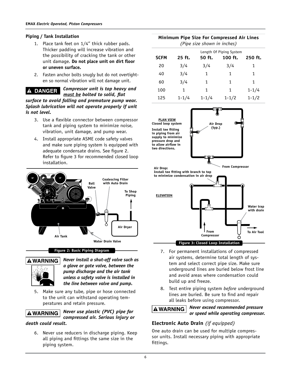#### **Piping / Tank Installation**

- 1. Place tank feet on 1/4" thick rubber pads. Thicker padding will increase vibration and the possibility of cracking the tank or other unit damage. **Do not place unit on dirt floor or uneven surface.**
- 2. Fasten anchor bolts snugly but do not overtighten so normal vibration will not damage unit.

#### $\blacktriangle$ **DANGER**

*Compressor unit is top heavy and must be bolted to solid, flat* 

*surface to avoid falling and premature pump wear. Splash lubrication will not operate properly if unit is not level.*

- 3. Use a flexible connector between compressor tank and piping system to minimize noise, vibration, unit damage, and pump wear.
- 4. Install appropriate ASME code safety valves and make sure piping system is equipped with adequate condensate drains. See figure 2. Refer to figure 3 for recommended closed loop installation.



#### **Figure 2: Basic Piping Diagram**



*Never install a shut-off valve such as a glove or gate valve, between the pump discharge and the air tank unless a safety valve is installed in the line between valve and pump.*

5. Make sure any tube, pipe or hose connected to the unit can withstand operating temperatures and retain pressure.

**A WARNING** 

*Never use plastic (PVC) pipe for compressed air. Serious injury or* 

#### *death could result.*

6. Never use reducers in discharge piping. Keep all piping and fittings the same size in the piping system.

| (Pipe size shown in inches)                                             |           |           |           |           |
|-------------------------------------------------------------------------|-----------|-----------|-----------|-----------|
| Length Of Piping System<br><b>SCFM</b><br>25 ft.<br>50 ft.<br>$100$ ft. |           |           |           | 250 ft.   |
| 20                                                                      | 3/4       | 3/4       | 3/4       | 1         |
| 40                                                                      | 3/4       | 1         | 1         | 1         |
| 60                                                                      | 3/4       | 1         | 1         | 1         |
| 100                                                                     | 1         | 1         | 1         | $1 - 1/4$ |
| 125                                                                     | $1 - 1/4$ | $1 - 1/4$ | $1 - 1/2$ | $1 - 1/2$ |

**Minimum Pipe Size For Compressed Air Lines**



- 7. For permanent installations of compressed air systems, determine total length of system and select correct pipe size. Make sure underground lines are buried below frost line and avoid areas where condensation could build up and freeze.
- 8. Test entire piping system *before* underground lines are buried. Be sure to find and repair all leaks before using compressor.

**A WARNING** 

*Never exceed recommended pressure or speed while operating compressor.*

#### **Electronic Auto Drain** *(if equipped)*

One auto drain can be used for multiple compressor units. Install necessary piping with appropriate fittings.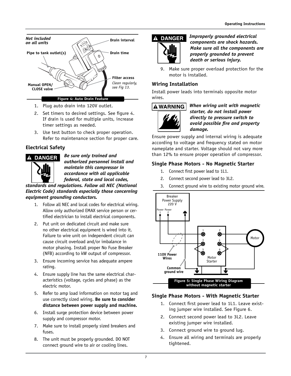

- 1. Plug auto drain into 120V outlet.
- 2. Set timers to desired settings. See figure 4. If drain is used for multiple units, increase timer settings as needed.
- 3. Use test button to check proper operation. Refer to maintenance section for proper care.

### **Electrical Safety**



*Be sure only trained and authorized personnel install and maintain this compressor in accordance with all applicable federal, state and local codes,* 

*standards and regulations. Follow all NEC (National Electric Code) standards especially those concerning equipment grounding conductors.*

- 1. Follow all NEC and local codes for electrical wiring. Allow only authorized EMAX service person or certified electrician to install electrical components.
- 2. Put unit on dedicated circuit and make sure no other electrical equipment is wired into it. Failure to wire unit on independent circuit can cause circuit overload and/or imbalance in motor phasing. Install proper No Fuse Breaker (NFB) according to kW output of compressor.
- 3. Ensure incoming service has adequate ampere rating.
- 4. Ensure supply line has the same electrical characteristics (voltage, cycles and phase) as the electric motor.
- 5. Refer to amp load information on motor tag and use correctly sized wiring. **Be sure to consider distance between power supply and machine.**
- 6. Install surge protection device between power supply and compressor motor.
- 7. Make sure to install properly sized breakers and fuses.
- 8. The unit must be properly grounded. DO NOT connect ground wire to air or cooling lines.



*Improperly grounded electrical components are shock hazards. Make sure all the components are properly grounded to prevent death or serious injury.*

9. Make sure proper overload protection for the motor is installed.

#### **Wiring Installation**

Install power leads into terminals opposite motor wires.

#### **A WARNING**



*When wiring unit with magnetic starter, do not install power directly to pressure switch to avoid possible fire and property damage.*

Ensure power supply and internal wiring is adequate according to voltage and frequency stated on motor nameplate and starter. Voltage should not vary more than 12% to ensure proper operation of compressor.

#### **Single Phase Motors - No Magnetic Starter**

- 1. Connect first power lead to 1L1.
- 2. Connect second power lead to 3L2.
- 3. Connect ground wire to existing motor ground wire.



### **Single Phase Motors - With Magnetic Starter**

- 1. Connect first power lead to 1L1. Leave existing jumper wire installed. See Figure 6.
- 2. Connect second power lead to 3L2. Leave existing jumper wire installed.
- 3. Connect ground wire to ground lug.
- 4. Ensure all wiring and terminals are properly tightened.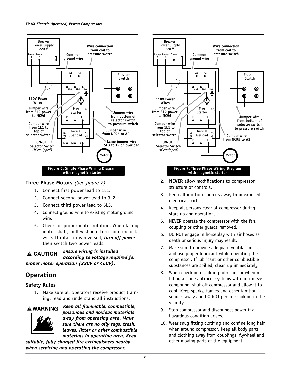

#### **Three Phase Motors** *(See figure 7)*

- 1. Connect first power lead to 1L1.
- 2. Connect second power lead to 3L2.
- 3. Connect third power lead to 5L3.
- 4. Connect ground wire to existing motor ground wire.
- 5. Check for proper motor rotation. When facing motor shaft, pulley should turn counterclockwise. If rotation is reversed, *turn off power* then switch two power leads.

*Ensure wiring is installed*  **A CAUTION** *according to voltage required for proper motor operation (220V or 460V).*

## **Operation**

#### **Safety Rules**

1. Make sure all operators receive product training, read and understand all instructions.



*Keep all flammable, combustible, poisonous and noxious materials away from operating area. Make sure there are no oily rags, trash, leaves, litter or other combustible materials in operating area. Keep* 

*suitable, fully charged fire extinguishers nearby when servicing and operating the compressor.*



- 2. **NEVER** allow modifications to compressor structure or controls.
- 3. Keep all ignition sources away from exposed electrical parts.
- 4. Keep all persons clear of compressor during start-up and operation.
- 5. NEVER operate the compressor with the fan, coupling or other guards removed.
- 6. DO NOT engage in horseplay with air hoses as death or serious injury may result.
- 7. Make sure to provide adequate ventilation and use proper lubricant while operating the compressor. If lubricant or other combustible substances are spilled, clean up immediately.
- 8. When checking or adding lubricant or when refilling air line anti-icer systems with antifreeze compound, shut off compressor and allow it to cool. Keep sparks, flames and other ignition sources away and DO NOT permit smoking in the vicinity.
- 9. Stop compressor and disconnect power if a hazardous condition arises.
- 10. Wear snug fitting clothing and confine long hair when around compressor. Keep all body parts and clothing away from couplings, flywheel and other moving parts of the equipment.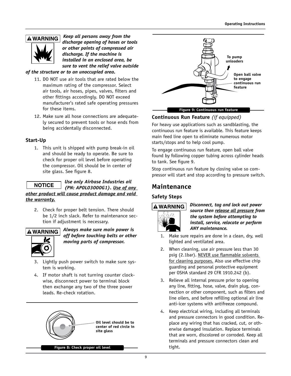### **A WARNING**



*Keep all persons away from the discharge opening of hoses or tools or other points of compressed air discharge. If the machine is installed in an enclosed area, be sure to vent the relief valve outside* 

*of the structure or to an unoccupied area.*

- 11. DO NOT use air tools that are rated below the maximum rating of the compressor. Select air tools, air hoses, pipes, valves, filters and other fittings accordingly. DO NOT exceed manufacturer's rated safe operating pressures for these items.
- 12. Make sure all hose connections are adequately secured to prevent tools or hose ends from being accidentally disconnected.

#### **Start-Up**

1. This unit is shipped with pump break-in oil and should be ready to operate. Be sure to check for proper oil level before operating the compressor. Oil should be in center of site glass. See figure 8.

#### *Use only Airbase Industries oil (PN: APOL03000G1). Use of any other product will cause product damage and void the warranty.*

2. Check for proper belt tension. There should be 1/2 inch slack. Refer to maintenance section if adjustment is necessary.



*Always make sure main power is off before touching belts or other moving parts of compressor.*

- 3. Lightly push power switch to make sure system is working.
- 4. If motor shaft is not turning counter clockwise, disconnect power to terminal block then exchange any two of the three power leads. Re-check rotation.





#### **Continuous Run Feature** *(if equipped)*

For heavy use applications such as sandblasting, the continuous run feature is available. This feature keeps main feed line open to eliminate numerous motor starts/stops and to help cool pump.

To engage continuous run feature, open ball valve found by following copper tubing across cylinder heads to tank. See figure 9.

Stop continuous run feature by closing valve so compressor will start and stop according to pressure switch.

### **Maintenance**

#### **Safety Steps**



*Disconnect, tag and lock out power source then release all pressure from the system before attempting to install, service, relocate or perform ANY maintenance.*

- 1. Make sure repairs are done in a clean, dry, well lighted and ventilated area.
- 2. When cleaning, use air pressure less than 30 psig (2.1bar). NEVER use flammable solvents for cleaning purposes. Also use effective chip guarding and personal protective equipment per OSHA standard 29 CFR 1910.242 (b).
- 3. Relieve all internal pressure prior to opening any line, fitting, hose, valve, drain plug, connection or other component, such as filters and line oilers, and before refilling optional air line anti-icer systems with antifreeze compound.
- 4. Keep electrical wiring, including all terminals and pressure connectors in good condition. Replace any wiring that has cracked, cut, or otherwise damaged insulation. Replace terminals that are worn, discolored or corroded. Keep all terminals and pressure connectors clean and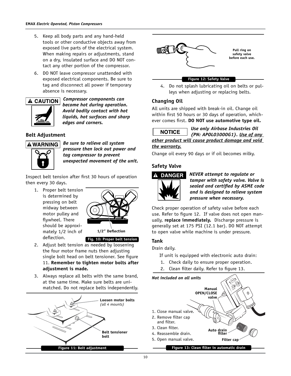- 5. Keep all body parts and any hand-held tools or other conductive objects away from exposed live parts of the electrical system. When making repairs or adjustments, stand on a dry, insulated surface and DO NOT contact any other portion of the compressor.
- 6. DO NOT leave compressor unattended with exposed electrical components. Be sure to tag and disconnect all power if temporary absence is necessary.

#### **A CAUTION**



*Compressor components can become hot during operation. Avoid bodily contact with hot liquids, hot surfaces and sharp edges and corners.*

#### **Belt Adjustment**



*Be sure to relieve all system pressure then lock out power and tag compressor to prevent unexpected movement of the unit.*

Inspect belt tension after first 30 hours of operation then every 30 days.

1. Proper belt tension is determined by pressing on belt midway between motor pulley and flywheel. There should be approximately 1/2 inch of deflection.



**Fig. 10: Proper belt tension**

- 2. Adjust belt tension as needed by loosening the four motor frame nuts then adjusting single bolt head on belt tensioner. See figure 11. **Remember to tighten motor bolts after adjustment is made.**
- 3. Always replace all belts with the same brand, at the same time. Make sure belts are unimatched. Do not replace belts independently.





#### **Figure 12: Safety Valve**

4. Do not splash lubricating oil on belts or pulleys when adjusting or replacing belts.

#### **Changing Oil**

All units are shipped with break-in oil. Change oil within first 50 hours or 30 days of operation, whichever comes first. **DO NOT use automotive type oil.**

 *Use only Airbase Industries Oil* 

*(PN: APOL03000G1). Use of any other product will cause product damage and void* 

## *the warranty.*

Change oil every 90 days or if oil becomes milky.

#### **Safety Valve**



*NEVER attempt to regulate or tamper with safety valve. Valve is sealed and certified by ASME code and is designed to relieve system pressure when necessary.*

Check proper operation of safety valve before each use. Refer to figure 12. If valve does not open manually, **replace immediately.** Discharge pressure is generally set at 175 PSI (12.1 bar). DO NOT attempt to open valve while machine is under pressure.

#### **Tank**

Drain daily.

- If unit is equipped with electronic auto drain:
- 1. Check daily to ensure proper operation.
- 2. Clean filter daily. Refer to figure 13.

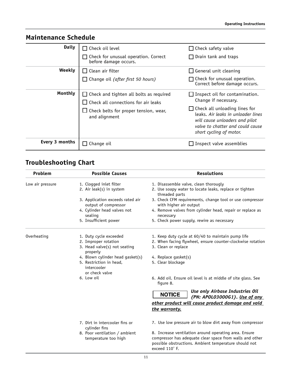| <b>Maintenance Schedule</b> |                                                                                                                                                 |                                                                                                                                                                                                                                |  |
|-----------------------------|-------------------------------------------------------------------------------------------------------------------------------------------------|--------------------------------------------------------------------------------------------------------------------------------------------------------------------------------------------------------------------------------|--|
| <b>Daily</b>                | Check oil level<br>Check for unusual operation. Correct<br>before damage occurs.                                                                | Check safety valve<br>$\blacksquare$<br>Drain tank and traps                                                                                                                                                                   |  |
| Weekly                      | Clean air filter<br>Change oil (after first 50 hours)                                                                                           | General unit cleaning<br>$\blacksquare$<br>Check for unusual operation.<br>Correct before damage occurs.                                                                                                                       |  |
| Monthly                     | Check and tighten all bolts as required<br>Check all connections for air leaks<br>$\Box$ Check belts for proper tension, wear,<br>and alignment | Inspect oil for contamination.<br>Change if necessary.<br>Check all unloading lines for<br>leaks. Air leaks in unloader lines<br>will cause unloaders and pilot<br>valve to chatter and could cause<br>short cycling of motor. |  |
| Every 3 months              | Change oil                                                                                                                                      | Inspect valve assemblies                                                                                                                                                                                                       |  |

# **Troubleshooting Chart**

| Problem          | <b>Possible Causes</b>                                   | <b>Resolutions</b>                                                                                                                                                         |  |  |
|------------------|----------------------------------------------------------|----------------------------------------------------------------------------------------------------------------------------------------------------------------------------|--|--|
| Low air pressure | 1. Clogged inlet filter                                  | 1. Disassemble valve, clean thorougly                                                                                                                                      |  |  |
|                  | 2. Air leak(s) in system                                 | 2. Use soapy water to locate leaks, replace or tighten<br>threaded parts                                                                                                   |  |  |
|                  | 3. Application exceeds rated air<br>output of compressor | 3. Check CFM requirements, change tool or use compressor<br>with higher air output                                                                                         |  |  |
|                  | 4. Cylinder head valves not<br>sealing                   | 4. Remove valves from cylinder head, repair or replace as<br>necessary                                                                                                     |  |  |
|                  | 5. Insufficient power                                    | 5. Check power supply, rewire as necessary                                                                                                                                 |  |  |
| Overheating      | 1. Duty cycle exceeded                                   | 1. Keep duty cycle at 60/40 to maintain pump life                                                                                                                          |  |  |
|                  | 2. Improper rotation                                     | 2. When facing flywheel, ensure counter-clockwise rotation                                                                                                                 |  |  |
|                  | 3. Head valve(s) not seating<br>properly                 | 3. Clean or replace                                                                                                                                                        |  |  |
|                  | 4. Blown cylinder head gasket(s)                         | 4. Replace gasket(s)                                                                                                                                                       |  |  |
|                  | 5. Restriction in head,<br>intercooler<br>or check valve | 5. Clear blockage                                                                                                                                                          |  |  |
|                  | 6. Low oil                                               | 6. Add oil. Ensure oil level is at middle of site glass. See<br>figure 8.                                                                                                  |  |  |
|                  |                                                          | Use only Airbase Industries Oil<br><b>NOTICE</b><br>(PN: APOLO3000G1). Use of any                                                                                          |  |  |
|                  |                                                          | other product will cause product damage and void<br>the warranty.                                                                                                          |  |  |
|                  | 7. Dirt in intercooler fins or<br>cylinder fins          | 7. Use low pressure air to blow dirt away from compressor                                                                                                                  |  |  |
|                  | 8. Poor ventilation / ambient<br>temperature too high    | 8. Increase ventilation around operating area. Ensure<br>compressor has adequate clear space from walls and other<br>possible obstructions. Ambient temperature should not |  |  |

exceed 110˚ F.